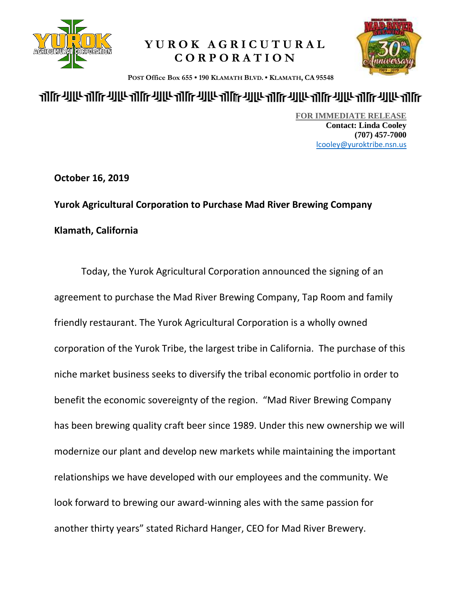

## **YUROK AGRICUTURAL CORPORATION**



 **POST Office Box 655 • 190 KLAMATH BLVD. • KLAMATH, CA 95548**

## <u> ATIF ANG ATIF ANG ATIF ANG ATIF ANG ATIF ANG ATIF ANG ATIF ANG ATIF ANG ATIF ANG ATIF ANG ATIF ATIF ATIF ANG A</u>

**FOR IMMEDIATE RELEASE Contact: Linda Cooley (707) 457-7000** [lcooley@yuroktribe.nsn.us](mailto:lcooley@yuroktribe.nsn.us)

**October 16, 2019**

**Yurok Agricultural Corporation to Purchase Mad River Brewing Company Klamath, California**

Today, the Yurok Agricultural Corporation announced the signing of an agreement to purchase the Mad River Brewing Company, Tap Room and family friendly restaurant. The Yurok Agricultural Corporation is a wholly owned corporation of the Yurok Tribe, the largest tribe in California. The purchase of this niche market business seeks to diversify the tribal economic portfolio in order to benefit the economic sovereignty of the region. "Mad River Brewing Company has been brewing quality craft beer since 1989. Under this new ownership we will modernize our plant and develop new markets while maintaining the important relationships we have developed with our employees and the community. We look forward to brewing our award-winning ales with the same passion for another thirty years" stated Richard Hanger, CEO for Mad River Brewery.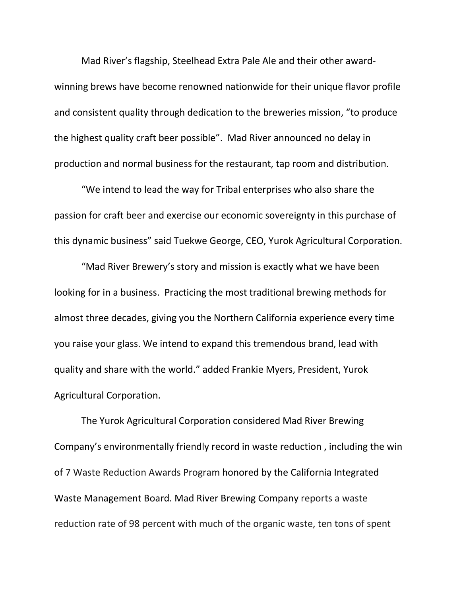Mad River's flagship, Steelhead Extra Pale Ale and their other awardwinning brews have become renowned nationwide for their unique flavor profile and consistent quality through dedication to the breweries mission, "to produce the highest quality craft beer possible". Mad River announced no delay in production and normal business for the restaurant, tap room and distribution.

"We intend to lead the way for Tribal enterprises who also share the passion for craft beer and exercise our economic sovereignty in this purchase of this dynamic business" said Tuekwe George, CEO, Yurok Agricultural Corporation.

"Mad River Brewery's story and mission is exactly what we have been looking for in a business. Practicing the most traditional brewing methods for almost three decades, giving you the Northern California experience every time you raise your glass. We intend to expand this tremendous brand, lead with quality and share with the world." added Frankie Myers, President, Yurok Agricultural Corporation.

The Yurok Agricultural Corporation considered Mad River Brewing Company's environmentally friendly record in waste reduction , including the win of 7 Waste Reduction Awards Program honored by the California [Integrated](https://en.m.wikipedia.org/wiki/California_Integrated_Waste_Management_Board) Waste [Management](https://en.m.wikipedia.org/wiki/California_Integrated_Waste_Management_Board) Board. Mad River Brewing Company reports a waste reduction rate of 98 percent with much of the organic waste, ten tons of spent